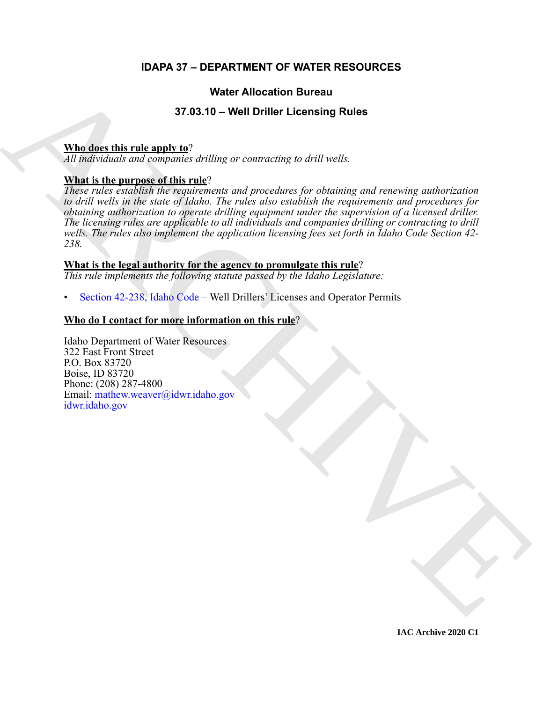### **IDAPA 37 – DEPARTMENT OF WATER RESOURCES**

#### **Water Allocation Bureau**

#### **37.03.10 – Well Driller Licensing Rules**

#### **Who does this rule apply to**?

*All individuals and companies drilling or contracting to drill wells.*

#### **What is the purpose of this rule**?

**Weiter Allocation Bureau<br>
Mind does this rule another**  $\Omega$  **7.05.10 - Well Driller Licensing Rules<br>
A[RC](https://legislature.idaho.gov/statutesrules/idstat/Title42/T42CH2/SECT42-238/)[HI](mailto: mathew.weaver@idwr.idaho.gov)VE CONTINUES INTERFERING CONTINUES AND CONTINUES ARCHIVE CONTINUES INTO the control of the proposed of the continued** *These rules establish the requirements and procedures for obtaining and renewing authorization to drill wells in the state of Idaho. The rules also establish the requirements and procedures for obtaining authorization to operate drilling equipment under the supervision of a licensed driller. The licensing rules are applicable to all individuals and companies drilling or contracting to drill wells. The rules also implement the application licensing fees set forth in Idaho Code Section 42- 238.*

#### **What is the legal authority for the agency to promulgate this rule**?

*This rule implements the following statute passed by the Idaho Legislature:*

• Section 42-238, Idaho Code – Well Drillers' Licenses and Operator Permits

#### **Who do I contact for more information on this rule**?

Idaho Department of Water Resources 322 East Front Street P.O. Box 83720 Boise, ID 83720 Phone: (208) 287-4800 Email: mathew.weaver@idwr.idaho.gov idwr.idaho.gov

**IAC Archive 2020 C1**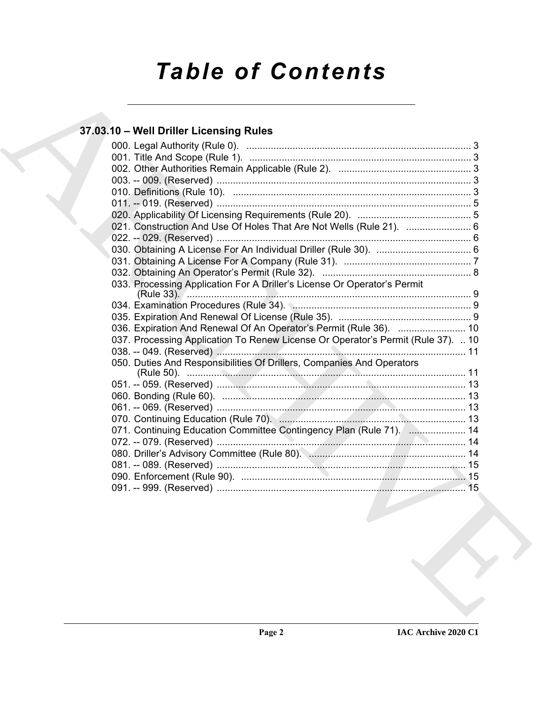# *Table of Contents*

## **37.03.10 – Well Driller Licensing Rules**

| 37.03.10 - Well Driller Licensing Rules                                          |
|----------------------------------------------------------------------------------|
|                                                                                  |
|                                                                                  |
|                                                                                  |
|                                                                                  |
|                                                                                  |
|                                                                                  |
| 021. Construction And Use Of Holes That Are Not Wells (Rule 21).  6              |
|                                                                                  |
|                                                                                  |
|                                                                                  |
|                                                                                  |
| 033. Processing Application For A Driller's License Or Operator's Permit         |
|                                                                                  |
|                                                                                  |
| 036. Expiration And Renewal Of An Operator's Permit (Rule 36).  10               |
| 037. Processing Application To Renew License Or Operator's Permit (Rule 37).  10 |
|                                                                                  |
| 050. Duties And Responsibilities Of Drillers, Companies And Operators            |
|                                                                                  |
|                                                                                  |
|                                                                                  |
|                                                                                  |
| 071. Continuing Education Committee Contingency Plan (Rule 71).  14              |
|                                                                                  |
|                                                                                  |
|                                                                                  |
| 15                                                                               |
|                                                                                  |
|                                                                                  |
|                                                                                  |
|                                                                                  |
|                                                                                  |
|                                                                                  |
|                                                                                  |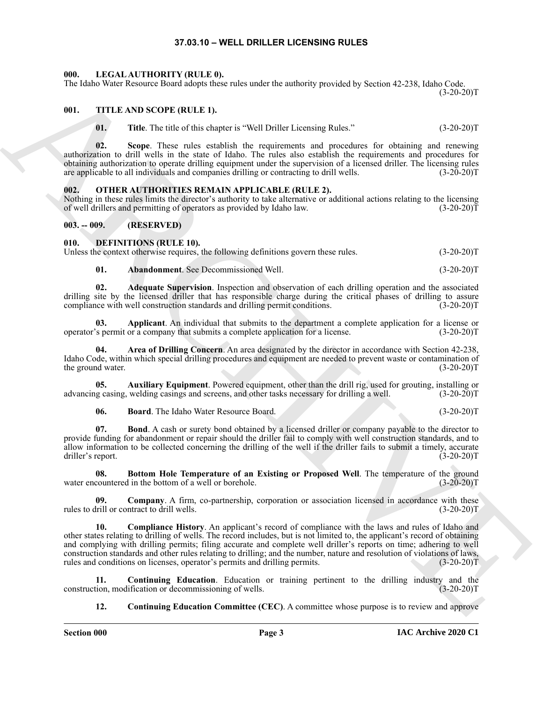#### **37.03.10 – WELL DRILLER LICENSING RULES**

#### <span id="page-2-19"></span><span id="page-2-1"></span><span id="page-2-0"></span>**000. LEGAL AUTHORITY (RULE 0).**

The Idaho Water Resource Board adopts these rules under the authority provided by Section 42-238, Idaho Code.

 $(3-20-20)T$ 

#### <span id="page-2-2"></span>**001. TITLE AND SCOPE (RULE 1).**

<span id="page-2-21"></span>**01.** Title. The title of this chapter is "Well Driller Licensing Rules." (3-20-20)T

**02. Scope**. These rules establish the requirements and procedures for obtaining and renewing authorization to drill wells in the state of Idaho. The rules also establish the requirements and procedures for obtaining authorization to operate drilling equipment under the supervision of a licensed driller. The licensing rules are applicable to all individuals and companies drilling or contracting to drill wells. (3-20-20)T

#### <span id="page-2-20"></span><span id="page-2-3"></span>**002. OTHER AUTHORITIES REMAIN APPLICABLE (RULE 2).**

Nothing in these rules limits the director's authority to take alternative or additional actions relating to the licensing of well drillers and permitting of operators as provided by Idaho law. (3-20-20)T

#### <span id="page-2-4"></span>**003. -- 009. (RESERVED)**

#### <span id="page-2-6"></span><span id="page-2-5"></span>**010. DEFINITIONS (RULE 10).**

Unless the context otherwise requires, the following definitions govern these rules. (3-20-20)T

<span id="page-2-9"></span><span id="page-2-8"></span><span id="page-2-7"></span>**01. Abandonment**. See Decommissioned Well. (3-20-20)T

**02. Adequate Supervision**. Inspection and observation of each drilling operation and the associated drilling site by the licensed driller that has responsible charge during the critical phases of drilling to assure compliance with well construction standards and drilling permit conditions. (3-20-20)T

**03. Applicant**. An individual that submits to the department a complete application for a license or operator's permit or a company that submits a complete application for a license. (3-20-20)T

<span id="page-2-10"></span>**04. Area of Drilling Concern**. An area designated by the director in accordance with Section 42-238, Idaho Code, within which special drilling procedures and equipment are needed to prevent waste or contamination of the ground water. (3-20-20)T

**05.** Auxiliary Equipment. Powered equipment, other than the drill rig, used for grouting, installing or g casing, welding casings and screens, and other tasks necessary for drilling a well. (3-20-20) advancing casing, welding casings and screens, and other tasks necessary for drilling a well.

<span id="page-2-14"></span><span id="page-2-13"></span><span id="page-2-12"></span><span id="page-2-11"></span>**06. Board**. The Idaho Water Resource Board. (3-20-20)T

**07. Bond**. A cash or surety bond obtained by a licensed driller or company payable to the director to provide funding for abandonment or repair should the driller fail to comply with well construction standards, and to allow information to be collected concerning the drilling of the well if the driller fails to submit a timely, accurate driller's report. (3-20-20)T

**08.** Bottom Hole Temperature of an Existing or Proposed Well. The temperature of the ground countered in the bottom of a well or borehole. (3-20-20)T water encountered in the bottom of a well or borehole.

<span id="page-2-16"></span><span id="page-2-15"></span>**09. Company**. A firm, co-partnership, corporation or association licensed in accordance with these (in the unit) or contract to drill wells. rules to drill or contract to drill wells.

The labels Water Reverse Bostnes also as a constant track and since the same of the same of the same of the same of the same of the same of the same of the same of the same of the same of the same of the same of the same **10. Compliance History**. An applicant's record of compliance with the laws and rules of Idaho and other states relating to drilling of wells. The record includes, but is not limited to, the applicant's record of obtaining and complying with drilling permits; filing accurate and complete well driller's reports on time; adhering to well construction standards and other rules relating to drilling; and the number, nature and resolution of violations of laws, rules and conditions on licenses, operator's permits and drilling permits. (3-20-20) rules and conditions on licenses, operator's permits and drilling permits.

**11. Continuing Education**. Education or training pertinent to the drilling industry and the construction, modification or decommissioning of wells. (3-20-20)T

<span id="page-2-18"></span><span id="page-2-17"></span>**12. Continuing Education Committee (CEC)**. A committee whose purpose is to review and approve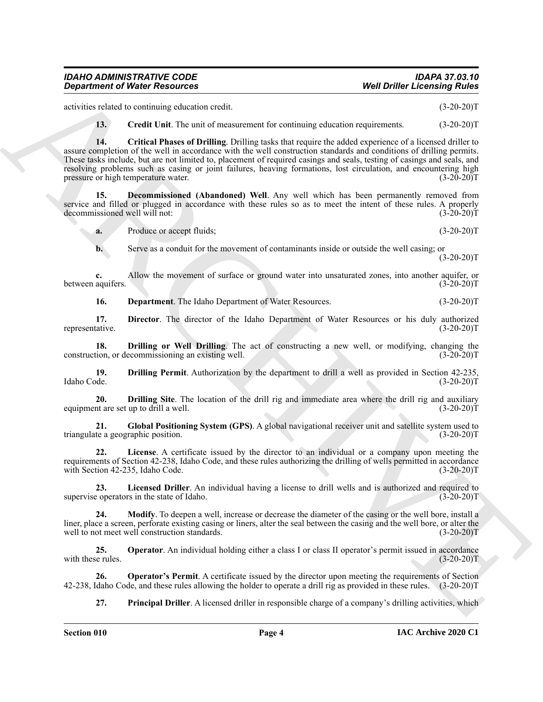activities related to continuing education credit. (3-20-20)T

<span id="page-3-1"></span><span id="page-3-0"></span>**13. Credit Unit**. The unit of measurement for continuing education requirements. (3-20-20)T

**Construent of Water Associates**<br>
activities and the continuum vector of the construent of the state of the state of the construction (3.2020)<br>
ARCHIVE THE CONSTRUCT THE CONSTRUCT THE CONSTRUCT THE CONSTRUCT THE CONSTRUCT **14. Critical Phases of Drilling**. Drilling tasks that require the added experience of a licensed driller to assure completion of the well in accordance with the well construction standards and conditions of drilling permits. These tasks include, but are not limited to, placement of required casings and seals, testing of casings and seals, and resolving problems such as casing or joint failures, heaving formations, lost circulation, and encountering high pressure or high temperature water. (3-20-20)T

**15. Decommissioned (Abandoned) Well**. Any well which has been permanently removed from service and filled or plugged in accordance with these rules so as to meet the intent of these rules. A properly decommissioned well will not: (3-20-20) decommissioned well will not:

<span id="page-3-2"></span>**a.** Produce or accept fluids; (3-20-20)T

**b.** Serve as a conduit for the movement of contaminants inside or outside the well casing; or  $(3-20-20)T$ 

**c.** Allow the movement of surface or ground water into unsaturated zones, into another aquifer, or aquifers. (3-20-20) between aquifers.

<span id="page-3-5"></span><span id="page-3-4"></span><span id="page-3-3"></span>**16. Department**. The Idaho Department of Water Resources. (3-20-20)T

**17. Director**. The director of the Idaho Department of Water Resources or his duly authorized tative. (3-20-20)T representative.

**18. Drilling or Well Drilling**. The act of constructing a new well, or modifying, changing the tion, or decommissioning an existing well. (3-20-20) construction, or decommissioning an existing well.

<span id="page-3-6"></span>**19. Drilling Permit**. Authorization by the department to drill a well as provided in Section 42-235, Idaho Code. (3-20-20)T

<span id="page-3-7"></span>**20. Drilling Site**. The location of the drill rig and immediate area where the drill rig and auxiliary nt are set up to drill a well. (3-20-20) equipment are set up to drill a well.

<span id="page-3-8"></span>**21. Global Positioning System (GPS)**. A global navigational receiver unit and satellite system used to triangulate a geographic position. (3-20-20)T

<span id="page-3-9"></span>**22. License**. A certificate issued by the director to an individual or a company upon meeting the requirements of Section 42-238, Idaho Code, and these rules authorizing the drilling of wells permitted in accordance with Section 42-235, Idaho Code. (3-20-20)T

<span id="page-3-10"></span>**23. Licensed Driller**. An individual having a license to drill wells and is authorized and required to supervise operators in the state of Idaho. (3-20-20)T

<span id="page-3-11"></span>**24.** Modify. To deepen a well, increase or decrease the diameter of the casing or the well bore, install a liner, place a screen, perforate existing casing or liners, alter the seal between the casing and the well bore, or alter the well to not meet well construction standards. (3-20-20)T

<span id="page-3-12"></span>**25. Operator**. An individual holding either a class I or class II operator's permit issued in accordance with these rules. (3-20-20)T

**26. Operator's Permit**. A certificate issued by the director upon meeting the requirements of Section 42-238, Idaho Code, and these rules allowing the holder to operate a drill rig as provided in these rules. (3-20-20)T

<span id="page-3-14"></span><span id="page-3-13"></span>**27. Principal Driller**. A licensed driller in responsible charge of a company's drilling activities, which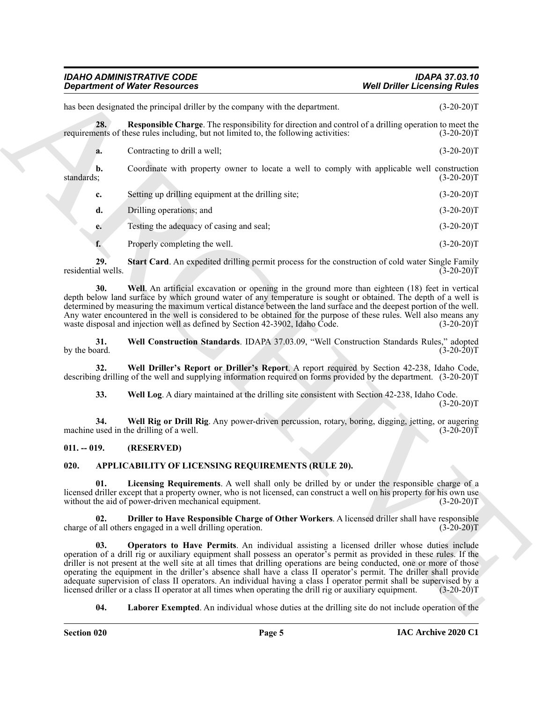<span id="page-4-7"></span>

| has been designated the principal driller by the company with the department.<br>$(3-20-20)T$<br>28.<br><b>Responsible Charge.</b> The responsibility for direction and control of a drilling operation to meet the<br>requirements of these rules including, but not limited to, the following activities:<br>$(3-20-20)T$<br>Contracting to drill a well;<br>$(3-20-20)T$<br>a.<br>Coordinate with property owner to locate a well to comply with applicable well construction<br>b.<br>standards;<br>$(3-20-20)T$<br>Setting up drilling equipment at the drilling site;<br>$(3-20-20)T$<br>c.<br>Drilling operations; and<br>$(3-20-20)T$<br>d.<br>Testing the adequacy of casing and seal;<br>$(3-20-20)T$<br>e.<br>Properly completing the well.<br>$(3-20-20)T$<br>f.<br>29.<br>Start Card. An expedited drilling permit process for the construction of cold water Single Family<br>residential wells.<br>$(3-20-20)T$<br>Well. An artificial excavation or opening in the ground more than eighteen (18) feet in vertical<br>30.<br>depth below land surface by which ground water of any temperature is sought or obtained. The depth of a well is<br>determined by measuring the maximum vertical distance between the land surface and the deepest portion of the well.<br>Any water encountered in the well is considered to be obtained for the purpose of these rules. Well also means any<br>waste disposal and injection well as defined by Section 42-3902, Idaho Code.<br>$(3-20-20)T$<br>31.<br>Well Construction Standards. IDAPA 37.03.09, "Well Construction Standards Rules," adopted<br>by the board.<br>$(3-20-20)T$<br>Well Driller's Report or Driller's Report. A report required by Section 42-238, Idaho Code,<br>32.<br>describing drilling of the well and supplying information required on forms provided by the department. (3-20-20)T<br>33.<br>Well Log. A diary maintained at the drilling site consistent with Section 42-238, Idaho Code.<br>$(3-20-20)T$<br>Well Rig or Drill Rig. Any power-driven percussion, rotary, boring, digging, jetting, or augering<br>34.<br>machine used in the drilling of a well.<br>$(3-20-20)T$<br>$011. - 019.$<br>(RESERVED)<br>020.<br>APPLICABILITY OF LICENSING REQUIREMENTS (RULE 20).<br>01.<br>Licensing Requirements. A well shall only be drilled by or under the responsible charge of a<br>licensed driller except that a property owner, who is not licensed, can construct a well on his property for his own use<br>without the aid of power-driven mechanical equipment.<br>$(3-20-20)T$<br>Driller to Have Responsible Charge of Other Workers. A licensed driller shall have responsible<br>02.<br>charge of all others engaged in a well drilling operation.<br>$(3-20-20)T$<br><b>Operators to Have Permits.</b> An individual assisting a licensed driller whose duties include<br>03.<br>operation of a drill rig or auxiliary equipment shall possess an operator's permit as provided in these rules. If the<br>driller is not present at the well site at all times that drilling operations are being conducted, one or more of those<br>operating the equipment in the driller's absence shall have a class II operator's permit. The driller shall provide<br>adequate supervision of class II operators. An individual having a class I operator permit shall be supervised by a<br>licensed driller or a class II operator at all times when operating the drill rig or auxiliary equipment.<br>$(3-20-20)T$<br>Laborer Exempted. An individual whose duties at the drilling site do not include operation of the<br>04. | <b>Department of Water Resources</b> | <b>Well Driller Licensing Rules</b> |  |
|----------------------------------------------------------------------------------------------------------------------------------------------------------------------------------------------------------------------------------------------------------------------------------------------------------------------------------------------------------------------------------------------------------------------------------------------------------------------------------------------------------------------------------------------------------------------------------------------------------------------------------------------------------------------------------------------------------------------------------------------------------------------------------------------------------------------------------------------------------------------------------------------------------------------------------------------------------------------------------------------------------------------------------------------------------------------------------------------------------------------------------------------------------------------------------------------------------------------------------------------------------------------------------------------------------------------------------------------------------------------------------------------------------------------------------------------------------------------------------------------------------------------------------------------------------------------------------------------------------------------------------------------------------------------------------------------------------------------------------------------------------------------------------------------------------------------------------------------------------------------------------------------------------------------------------------------------------------------------------------------------------------------------------------------------------------------------------------------------------------------------------------------------------------------------------------------------------------------------------------------------------------------------------------------------------------------------------------------------------------------------------------------------------------------------------------------------------------------------------------------------------------------------------------------------------------------------------------------------------------------------------------------------------------------------------------------------------------------------------------------------------------------------------------------------------------------------------------------------------------------------------------------------------------------------------------------------------------------------------------------------------------------------------------------------------------------------------------------------------------------------------------------------------------------------------------------------------------------------------------------------------------------------------------------------------------------------------------------------------------------------------------------------------------------------------------------------------------------------------------------------------------------------------------------------------------------------------------------------------------------------------|--------------------------------------|-------------------------------------|--|
|                                                                                                                                                                                                                                                                                                                                                                                                                                                                                                                                                                                                                                                                                                                                                                                                                                                                                                                                                                                                                                                                                                                                                                                                                                                                                                                                                                                                                                                                                                                                                                                                                                                                                                                                                                                                                                                                                                                                                                                                                                                                                                                                                                                                                                                                                                                                                                                                                                                                                                                                                                                                                                                                                                                                                                                                                                                                                                                                                                                                                                                                                                                                                                                                                                                                                                                                                                                                                                                                                                                                                                                                                                  |                                      |                                     |  |
|                                                                                                                                                                                                                                                                                                                                                                                                                                                                                                                                                                                                                                                                                                                                                                                                                                                                                                                                                                                                                                                                                                                                                                                                                                                                                                                                                                                                                                                                                                                                                                                                                                                                                                                                                                                                                                                                                                                                                                                                                                                                                                                                                                                                                                                                                                                                                                                                                                                                                                                                                                                                                                                                                                                                                                                                                                                                                                                                                                                                                                                                                                                                                                                                                                                                                                                                                                                                                                                                                                                                                                                                                                  |                                      |                                     |  |
|                                                                                                                                                                                                                                                                                                                                                                                                                                                                                                                                                                                                                                                                                                                                                                                                                                                                                                                                                                                                                                                                                                                                                                                                                                                                                                                                                                                                                                                                                                                                                                                                                                                                                                                                                                                                                                                                                                                                                                                                                                                                                                                                                                                                                                                                                                                                                                                                                                                                                                                                                                                                                                                                                                                                                                                                                                                                                                                                                                                                                                                                                                                                                                                                                                                                                                                                                                                                                                                                                                                                                                                                                                  |                                      |                                     |  |
|                                                                                                                                                                                                                                                                                                                                                                                                                                                                                                                                                                                                                                                                                                                                                                                                                                                                                                                                                                                                                                                                                                                                                                                                                                                                                                                                                                                                                                                                                                                                                                                                                                                                                                                                                                                                                                                                                                                                                                                                                                                                                                                                                                                                                                                                                                                                                                                                                                                                                                                                                                                                                                                                                                                                                                                                                                                                                                                                                                                                                                                                                                                                                                                                                                                                                                                                                                                                                                                                                                                                                                                                                                  |                                      |                                     |  |
|                                                                                                                                                                                                                                                                                                                                                                                                                                                                                                                                                                                                                                                                                                                                                                                                                                                                                                                                                                                                                                                                                                                                                                                                                                                                                                                                                                                                                                                                                                                                                                                                                                                                                                                                                                                                                                                                                                                                                                                                                                                                                                                                                                                                                                                                                                                                                                                                                                                                                                                                                                                                                                                                                                                                                                                                                                                                                                                                                                                                                                                                                                                                                                                                                                                                                                                                                                                                                                                                                                                                                                                                                                  |                                      |                                     |  |
|                                                                                                                                                                                                                                                                                                                                                                                                                                                                                                                                                                                                                                                                                                                                                                                                                                                                                                                                                                                                                                                                                                                                                                                                                                                                                                                                                                                                                                                                                                                                                                                                                                                                                                                                                                                                                                                                                                                                                                                                                                                                                                                                                                                                                                                                                                                                                                                                                                                                                                                                                                                                                                                                                                                                                                                                                                                                                                                                                                                                                                                                                                                                                                                                                                                                                                                                                                                                                                                                                                                                                                                                                                  |                                      |                                     |  |
|                                                                                                                                                                                                                                                                                                                                                                                                                                                                                                                                                                                                                                                                                                                                                                                                                                                                                                                                                                                                                                                                                                                                                                                                                                                                                                                                                                                                                                                                                                                                                                                                                                                                                                                                                                                                                                                                                                                                                                                                                                                                                                                                                                                                                                                                                                                                                                                                                                                                                                                                                                                                                                                                                                                                                                                                                                                                                                                                                                                                                                                                                                                                                                                                                                                                                                                                                                                                                                                                                                                                                                                                                                  |                                      |                                     |  |
|                                                                                                                                                                                                                                                                                                                                                                                                                                                                                                                                                                                                                                                                                                                                                                                                                                                                                                                                                                                                                                                                                                                                                                                                                                                                                                                                                                                                                                                                                                                                                                                                                                                                                                                                                                                                                                                                                                                                                                                                                                                                                                                                                                                                                                                                                                                                                                                                                                                                                                                                                                                                                                                                                                                                                                                                                                                                                                                                                                                                                                                                                                                                                                                                                                                                                                                                                                                                                                                                                                                                                                                                                                  |                                      |                                     |  |
|                                                                                                                                                                                                                                                                                                                                                                                                                                                                                                                                                                                                                                                                                                                                                                                                                                                                                                                                                                                                                                                                                                                                                                                                                                                                                                                                                                                                                                                                                                                                                                                                                                                                                                                                                                                                                                                                                                                                                                                                                                                                                                                                                                                                                                                                                                                                                                                                                                                                                                                                                                                                                                                                                                                                                                                                                                                                                                                                                                                                                                                                                                                                                                                                                                                                                                                                                                                                                                                                                                                                                                                                                                  |                                      |                                     |  |
|                                                                                                                                                                                                                                                                                                                                                                                                                                                                                                                                                                                                                                                                                                                                                                                                                                                                                                                                                                                                                                                                                                                                                                                                                                                                                                                                                                                                                                                                                                                                                                                                                                                                                                                                                                                                                                                                                                                                                                                                                                                                                                                                                                                                                                                                                                                                                                                                                                                                                                                                                                                                                                                                                                                                                                                                                                                                                                                                                                                                                                                                                                                                                                                                                                                                                                                                                                                                                                                                                                                                                                                                                                  |                                      |                                     |  |
|                                                                                                                                                                                                                                                                                                                                                                                                                                                                                                                                                                                                                                                                                                                                                                                                                                                                                                                                                                                                                                                                                                                                                                                                                                                                                                                                                                                                                                                                                                                                                                                                                                                                                                                                                                                                                                                                                                                                                                                                                                                                                                                                                                                                                                                                                                                                                                                                                                                                                                                                                                                                                                                                                                                                                                                                                                                                                                                                                                                                                                                                                                                                                                                                                                                                                                                                                                                                                                                                                                                                                                                                                                  |                                      |                                     |  |
|                                                                                                                                                                                                                                                                                                                                                                                                                                                                                                                                                                                                                                                                                                                                                                                                                                                                                                                                                                                                                                                                                                                                                                                                                                                                                                                                                                                                                                                                                                                                                                                                                                                                                                                                                                                                                                                                                                                                                                                                                                                                                                                                                                                                                                                                                                                                                                                                                                                                                                                                                                                                                                                                                                                                                                                                                                                                                                                                                                                                                                                                                                                                                                                                                                                                                                                                                                                                                                                                                                                                                                                                                                  |                                      |                                     |  |
|                                                                                                                                                                                                                                                                                                                                                                                                                                                                                                                                                                                                                                                                                                                                                                                                                                                                                                                                                                                                                                                                                                                                                                                                                                                                                                                                                                                                                                                                                                                                                                                                                                                                                                                                                                                                                                                                                                                                                                                                                                                                                                                                                                                                                                                                                                                                                                                                                                                                                                                                                                                                                                                                                                                                                                                                                                                                                                                                                                                                                                                                                                                                                                                                                                                                                                                                                                                                                                                                                                                                                                                                                                  |                                      |                                     |  |
|                                                                                                                                                                                                                                                                                                                                                                                                                                                                                                                                                                                                                                                                                                                                                                                                                                                                                                                                                                                                                                                                                                                                                                                                                                                                                                                                                                                                                                                                                                                                                                                                                                                                                                                                                                                                                                                                                                                                                                                                                                                                                                                                                                                                                                                                                                                                                                                                                                                                                                                                                                                                                                                                                                                                                                                                                                                                                                                                                                                                                                                                                                                                                                                                                                                                                                                                                                                                                                                                                                                                                                                                                                  |                                      |                                     |  |
|                                                                                                                                                                                                                                                                                                                                                                                                                                                                                                                                                                                                                                                                                                                                                                                                                                                                                                                                                                                                                                                                                                                                                                                                                                                                                                                                                                                                                                                                                                                                                                                                                                                                                                                                                                                                                                                                                                                                                                                                                                                                                                                                                                                                                                                                                                                                                                                                                                                                                                                                                                                                                                                                                                                                                                                                                                                                                                                                                                                                                                                                                                                                                                                                                                                                                                                                                                                                                                                                                                                                                                                                                                  |                                      |                                     |  |
|                                                                                                                                                                                                                                                                                                                                                                                                                                                                                                                                                                                                                                                                                                                                                                                                                                                                                                                                                                                                                                                                                                                                                                                                                                                                                                                                                                                                                                                                                                                                                                                                                                                                                                                                                                                                                                                                                                                                                                                                                                                                                                                                                                                                                                                                                                                                                                                                                                                                                                                                                                                                                                                                                                                                                                                                                                                                                                                                                                                                                                                                                                                                                                                                                                                                                                                                                                                                                                                                                                                                                                                                                                  |                                      |                                     |  |
|                                                                                                                                                                                                                                                                                                                                                                                                                                                                                                                                                                                                                                                                                                                                                                                                                                                                                                                                                                                                                                                                                                                                                                                                                                                                                                                                                                                                                                                                                                                                                                                                                                                                                                                                                                                                                                                                                                                                                                                                                                                                                                                                                                                                                                                                                                                                                                                                                                                                                                                                                                                                                                                                                                                                                                                                                                                                                                                                                                                                                                                                                                                                                                                                                                                                                                                                                                                                                                                                                                                                                                                                                                  |                                      |                                     |  |
|                                                                                                                                                                                                                                                                                                                                                                                                                                                                                                                                                                                                                                                                                                                                                                                                                                                                                                                                                                                                                                                                                                                                                                                                                                                                                                                                                                                                                                                                                                                                                                                                                                                                                                                                                                                                                                                                                                                                                                                                                                                                                                                                                                                                                                                                                                                                                                                                                                                                                                                                                                                                                                                                                                                                                                                                                                                                                                                                                                                                                                                                                                                                                                                                                                                                                                                                                                                                                                                                                                                                                                                                                                  |                                      |                                     |  |
|                                                                                                                                                                                                                                                                                                                                                                                                                                                                                                                                                                                                                                                                                                                                                                                                                                                                                                                                                                                                                                                                                                                                                                                                                                                                                                                                                                                                                                                                                                                                                                                                                                                                                                                                                                                                                                                                                                                                                                                                                                                                                                                                                                                                                                                                                                                                                                                                                                                                                                                                                                                                                                                                                                                                                                                                                                                                                                                                                                                                                                                                                                                                                                                                                                                                                                                                                                                                                                                                                                                                                                                                                                  |                                      |                                     |  |
|                                                                                                                                                                                                                                                                                                                                                                                                                                                                                                                                                                                                                                                                                                                                                                                                                                                                                                                                                                                                                                                                                                                                                                                                                                                                                                                                                                                                                                                                                                                                                                                                                                                                                                                                                                                                                                                                                                                                                                                                                                                                                                                                                                                                                                                                                                                                                                                                                                                                                                                                                                                                                                                                                                                                                                                                                                                                                                                                                                                                                                                                                                                                                                                                                                                                                                                                                                                                                                                                                                                                                                                                                                  |                                      |                                     |  |

#### <span id="page-4-13"></span><span id="page-4-12"></span><span id="page-4-11"></span><span id="page-4-10"></span><span id="page-4-9"></span><span id="page-4-8"></span><span id="page-4-0"></span>**011. -- 019. (RESERVED)**

#### <span id="page-4-6"></span><span id="page-4-5"></span><span id="page-4-4"></span><span id="page-4-3"></span><span id="page-4-2"></span><span id="page-4-1"></span>**020. APPLICABILITY OF LICENSING REQUIREMENTS (RULE 20).**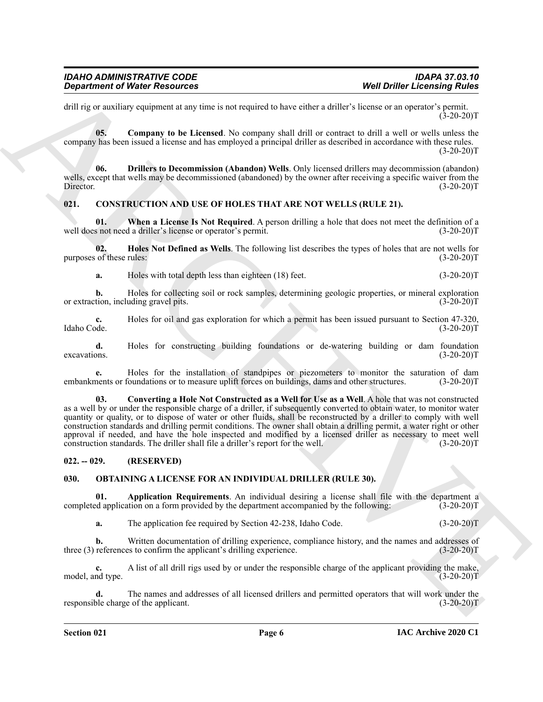drill rig or auxiliary equipment at any time is not required to have either a driller's license or an operator's permit.  $(3-20-20)T$ 

<span id="page-5-3"></span>**05. Company to be Licensed**. No company shall drill or contract to drill a well or wells unless the company has been issued a license and has employed a principal driller as described in accordance with these rules.  $(3-20-20)T$ 

<span id="page-5-4"></span>**06. Drillers to Decommission (Abandon) Wells**. Only licensed drillers may decommission (abandon) wells, except that wells may be decommissioned (abandoned) by the owner after receiving a specific waiver from the Director. (3-20-20)T

#### <span id="page-5-5"></span><span id="page-5-0"></span>**021. CONSTRUCTION AND USE OF HOLES THAT ARE NOT WELLS (RULE 21).**

<span id="page-5-8"></span>**01. When a License Is Not Required**. A person drilling a hole that does not meet the definition of a well does not need a driller's license or operator's permit. (3-20-20)T

**02. Holes Not Defined as Wells**. The following list describes the types of holes that are not wells for purposes of these rules: (3-20-20)T

<span id="page-5-7"></span>**a.** Holes with total depth less than eighteen (18) feet. (3-20-20)T

**b.** Holes for collecting soil or rock samples, determining geologic properties, or mineral exploration, including gravel pits.  $(3-20-20)T$ or extraction, including gravel pits.

**c.** Holes for oil and gas exploration for which a permit has been issued pursuant to Section 47-320, Idaho Code. (3-20-20)T Idaho Code. (3-20-20)T

**d.** Holes for constructing building foundations or de-watering building or dam foundation ons. (3-20-20)  $e$ xcavations. (3-20-20)T

<span id="page-5-6"></span>**e.** Holes for the installation of standpipes or piezometers to monitor the saturation of dam embankments or foundations or to measure uplift forces on buildings, dams and other structures. (3-20-20)T

**Construent of Water Resources** Well Drille Lectricity of Relations (a) the second of the second of the second of the second of the second of the second of the second of the second of the second of the second of the secon **03. Converting a Hole Not Constructed as a Well for Use as a Well**. A hole that was not constructed as a well by or under the responsible charge of a driller, if subsequently converted to obtain water, to monitor water quantity or quality, or to dispose of water or other fluids, shall be reconstructed by a driller to comply with well construction standards and drilling permit conditions. The owner shall obtain a drilling permit, a water right or other approval if needed, and have the hole inspected and modified by a licensed driller as necessary to meet well construction standards. The driller shall file a driller's report for the well. (3-20-20)T

#### <span id="page-5-1"></span>**022. -- 029. (RESERVED)**

#### <span id="page-5-9"></span><span id="page-5-2"></span>**030. OBTAINING A LICENSE FOR AN INDIVIDUAL DRILLER (RULE 30).**

**01. Application Requirements**. An individual desiring a license shall file with the department and application on a form provided by the department accompanied by the following: (3-20-20) completed application on a form provided by the department accompanied by the following:

<span id="page-5-10"></span>**a.** The application fee required by Section 42-238, Idaho Code. (3-20-20)T

**b.** Written documentation of drilling experience, compliance history, and the names and addresses of three (3) references to confirm the applicant's drilling experience. (3-20-20)T

**c.** A list of all drill rigs used by or under the responsible charge of the applicant providing the make, model, and type. (3-20-20)T

**d.** The names and addresses of all licensed drillers and permitted operators that will work under the responsible charge of the applicant. (3-20-20)T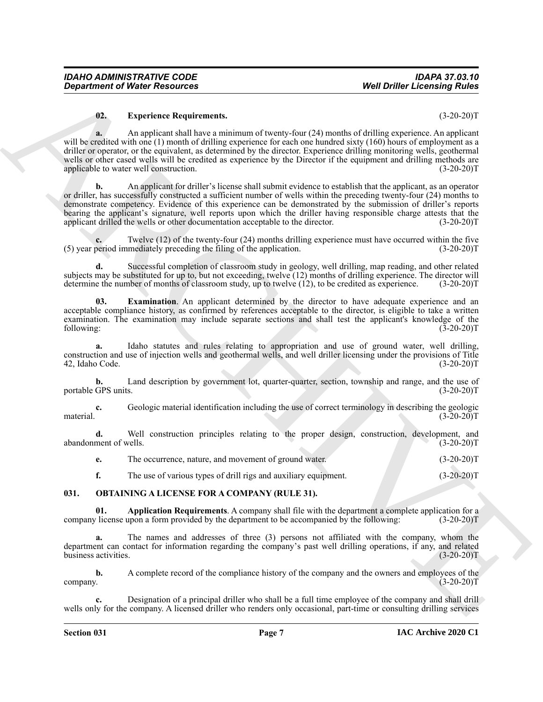#### <span id="page-6-4"></span>**02. Experience Requirements.** (3-20-20)T

**a.** An applicant shall have a minimum of twenty-four (24) months of drilling experience. An applicant will be credited with one (1) month of drilling experience for each one hundred sixty (160) hours of employment as a driller or operator, or the equivalent, as determined by the director. Experience drilling monitoring wells, geothermal wells or other cased wells will be credited as experience by the Director if the equipment and drilling methods are applicable to water well construction. (3-20-20) applicable to water well construction.

**Constrained of Notice Resources** Well Drifts Licensing Rules<br>
Well Drifts Licensing Rules<br>
(19) and proposed Rules and the system of the system (2) smaller diffuse exposition the system of the system of the system of the **b.** An applicant for driller's license shall submit evidence to establish that the applicant, as an operator or driller, has successfully constructed a sufficient number of wells within the preceding twenty-four (24) months to demonstrate competency. Evidence of this experience can be demonstrated by the submission of driller's reports bearing the applicant's signature, well reports upon which the driller having responsible charge attests that the applicant drilled the wells or other documentation acceptable to the director. (3-20-20)T

Twelve (12) of the twenty-four (24) months drilling experience must have occurred within the five mediately preceding the filing of the application. (3-20-20)<sup>T</sup>  $(5)$  year period immediately preceding the filing of the application.

**d.** Successful completion of classroom study in geology, well drilling, map reading, and other related subjects may be substituted for up to, but not exceeding, twelve (12) months of drilling experience. The director will determine the number of months of classroom study, up to twelve (12), to be credited as experience. (3-20-20)T

<span id="page-6-3"></span>**03. Examination**. An applicant determined by the director to have adequate experience and an acceptable compliance history, as confirmed by references acceptable to the director, is eligible to take a written examination. The examination may include separate sections and shall test the applicant's knowledge of the following: (3-20-20) following: (3-20-20)T

**a.** Idaho statutes and rules relating to appropriation and use of ground water, well drilling, construction and use of injection wells and geothermal wells, and well driller licensing under the provisions of Title 42, Idaho Code. (3-20-20)T

**b.** Land description by government lot, quarter-quarter, section, township and range, and the use of portable GPS units. (3-20-20)T

**c.** Geologic material identification including the use of correct terminology in describing the geologic material.  $(3-20-20)T$ 

**d.** Well construction principles relating to the proper design, construction, development, and ment of wells. (3-20-20) abandonment of wells.

**e.** The occurrence, nature, and movement of ground water. (3-20-20)T

<span id="page-6-2"></span><span id="page-6-1"></span>**f.** The use of various types of drill rigs and auxiliary equipment. (3-20-20)T

#### <span id="page-6-0"></span>**031. OBTAINING A LICENSE FOR A COMPANY (RULE 31).**

**01. Application Requirements**. A company shall file with the department a complete application for a *l* license upon a form provided by the department to be accompanied by the following: (3-20-20)T company license upon a form provided by the department to be accompanied by the following:

**a.** The names and addresses of three (3) persons not affiliated with the company, whom the department can contact for information regarding the company's past well drilling operations, if any, and related business activities. (3-20-20)T

**b.** A complete record of the compliance history of the company and the owners and employees of the company.  $(3-20-20)T$ 

**c.** Designation of a principal driller who shall be a full time employee of the company and shall drill wells only for the company. A licensed driller who renders only occasional, part-time or consulting drilling services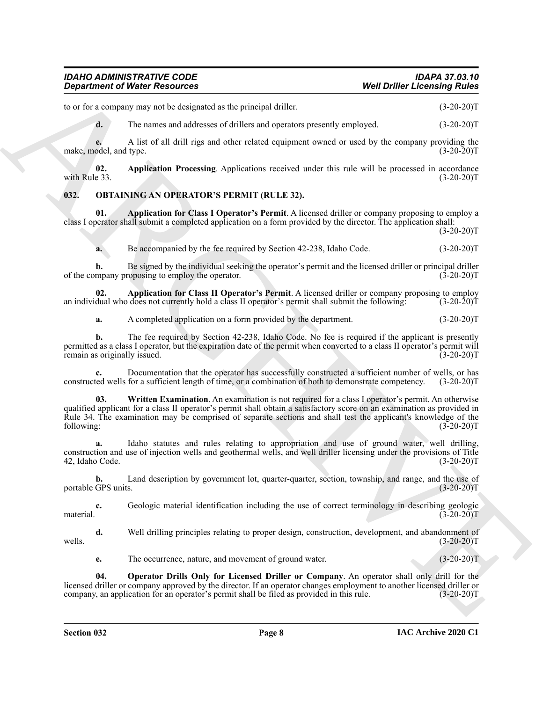to or for a company may not be designated as the principal driller. (3-20-20)T

<span id="page-7-1"></span>**d.** The names and addresses of drillers and operators presently employed. (3-20-20)T

**e.** A list of all drill rigs and other related equipment owned or used by the company providing the make, model, and type. (3-20-20)T

**02. Application Processing**. Applications received under this rule will be processed in accordance with Rule 33.  $(3-20-20)T$ 

#### <span id="page-7-2"></span><span id="page-7-0"></span>**032. OBTAINING AN OPERATOR'S PERMIT (RULE 32).**

**01. Application for Class I Operator's Permit**. A licensed driller or company proposing to employ a class I operator shall submit a completed application on a form provided by the director. The application shall:

 $(3-20-20)T$ 

<span id="page-7-3"></span>**a.** Be accompanied by the fee required by Section 42-238, Idaho Code.  $(3-20-20)T$ 

**b.** Be signed by the individual seeking the operator's permit and the licensed driller or principal driller mpany proposing to employ the operator. (3-20-20) of the company proposing to employ the operator.

**02. Application for Class II Operator's Permit**. A licensed driller or company proposing to employ dual who does not currently hold a class II operator's permit shall submit the following: (3-20-20)T an individual who does not currently hold a class II operator's permit shall submit the following:

<span id="page-7-4"></span>**a.** A completed application on a form provided by the department. (3-20-20)T

**b.** The fee required by Section 42-238, Idaho Code. No fee is required if the applicant is presently permitted as a class I operator, but the expiration date of the permit when converted to a class II operator's permit will remain as originally issued.

<span id="page-7-6"></span>**c.** Documentation that the operator has successfully constructed a sufficient number of wells, or has constructed wells for a sufficient length of time, or a combination of both to demonstrate competency. (3-20-20)T

**Considered of Noise Resources** the process that is a the parameter and the consequent the consequent (3.24-201)<br>
We have the same and the consequent of the same of the same of the same of the same of the same of the same **03. Written Examination**. An examination is not required for a class I operator's permit. An otherwise qualified applicant for a class II operator's permit shall obtain a satisfactory score on an examination as provided in Rule 34. The examination may be comprised of separate sections and shall test the applicant's knowledge of the<br>
(3-20-20) following: (3-20-20)T

**a.** Idaho statutes and rules relating to appropriation and use of ground water, well drilling, construction and use of injection wells and geothermal wells, and well driller licensing under the provisions of Title 42, Idaho Code. (3-20-20)T

**b.** Land description by government lot, quarter-quarter, section, township, and range, and the use of GPS units. (3-20-20) portable GPS units.

**c.** Geologic material identification including the use of correct terminology in describing geologic material.  $(3-20-20)T$ 

**d.** Well drilling principles relating to proper design, construction, development, and abandonment of (3-20-20)T wells.  $(3-20-20)T$ 

<span id="page-7-5"></span>**e.** The occurrence, nature, and movement of ground water. (3-20-20)T

**04. Operator Drills Only for Licensed Driller or Company**. An operator shall only drill for the licensed driller or company approved by the director. If an operator changes employment to another licensed driller or company, an application for an operator's permit shall be filed as provided in this rule. (3-20-20) company, an application for an operator's permit shall be filed as provided in this rule.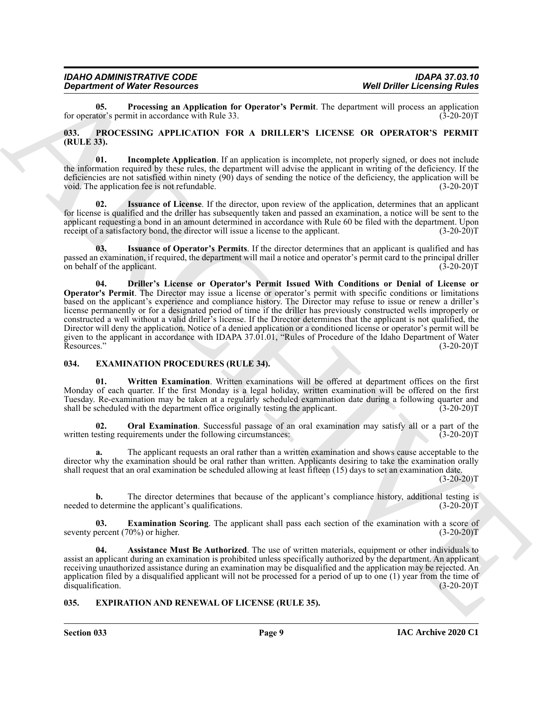<span id="page-8-9"></span>**05. Processing an Application for Operator's Permit**. The department will process an application tor's permit in accordance with Rule 33. (3-20-20) for operator's permit in accordance with Rule 33.

#### <span id="page-8-10"></span><span id="page-8-0"></span>**033. PROCESSING APPLICATION FOR A DRILLER'S LICENSE OR OPERATOR'S PERMIT (RULE 33).**

<span id="page-8-12"></span>**01. Incomplete Application**. If an application is incomplete, not properly signed, or does not include the information required by these rules, the department will advise the applicant in writing of the deficiency. If the deficiencies are not satisfied within ninety (90) days of sending the notice of the deficiency, the application will be void. The application fee is not refundable. (3-20-20) T

<span id="page-8-13"></span>**02. Issuance of License**. If the director, upon review of the application, determines that an applicant for license is qualified and the driller has subsequently taken and passed an examination, a notice will be sent to the applicant requesting a bond in an amount determined in accordance with Rule 60 be filed with the department. Upon receipt of a satisfactory bond, the director will issue a license to the applicant. (3-20-20)T

<span id="page-8-14"></span><span id="page-8-11"></span>**03. Issuance of Operator's Permits**. If the director determines that an applicant is qualified and has passed an examination, if required, the department will mail a notice and operator's permit card to the principal driller on behalf of the applicant. (3-20-20)T

**Considerably Well Drifts Encore and Constraints Premis The Metallicus Constraints Premis The Constraints Premis Constraints Premis The Constraints Premis Constraints Premis Constraints Premis Constraints Premis Constrain 04. Driller's License or Operator's Permit Issued With Conditions or Denial of License or Operator's Permit**. The Director may issue a license or operator's permit with specific conditions or limitations based on the applicant's experience and compliance history. The Director may refuse to issue or renew a driller's license permanently or for a designated period of time if the driller has previously constructed wells improperly or constructed a well without a valid driller's license. If the Director determines that the applicant is not qualified, the Director will deny the application. Notice of a denied application or a conditioned license or operator's permit will be given to the applicant in accordance with IDAPA 37.01.01, "Rules of Procedure of the Idaho Department of Water<br>Resources." (3-20-20)T Resources." (3-20-20)T

#### <span id="page-8-3"></span><span id="page-8-1"></span>**034. EXAMINATION PROCEDURES (RULE 34).**

<span id="page-8-7"></span>**01. Written Examination**. Written examinations will be offered at department offices on the first Monday of each quarter. If the first Monday is a legal holiday, written examination will be offered on the first Tuesday. Re-examination may be taken at a regularly scheduled examination date during a following quarter and shall be scheduled with the department office originally testing the applicant. (3-20-20) shall be scheduled with the department office originally testing the applicant.

<span id="page-8-6"></span>**Oral Examination**. Successful passage of an oral examination may satisfy all or a part of the written testing requirements under the following circumstances:  $(3-20-20)$ T

**a.** The applicant requests an oral rather than a written examination and shows cause acceptable to the director why the examination should be oral rather than written. Applicants desiring to take the examination orally shall request that an oral examination be scheduled allowing at least fifteen (15) days to set an examination date.

 $(3-20-20)T$ 

**b.** The director determines that because of the applicant's compliance history, additional testing is o determine the applicant's qualifications. (3-20-20) needed to determine the applicant's qualifications.

<span id="page-8-5"></span>**03. Examination Scoring**. The applicant shall pass each section of the examination with a score of percent (70%) or higher. (3-20-20) seventy percent  $(70%)$  or higher.

<span id="page-8-4"></span>**04. Assistance Must Be Authorized**. The use of written materials, equipment or other individuals to assist an applicant during an examination is prohibited unless specifically authorized by the department. An applicant receiving unauthorized assistance during an examination may be disqualified and the application may be rejected. An application filed by a disqualified applicant will not be processed for a period of up to one (1) year from the time of disqualification.  $(3-20-20)$ disqualification.

#### <span id="page-8-8"></span><span id="page-8-2"></span>**035. EXPIRATION AND RENEWAL OF LICENSE (RULE 35).**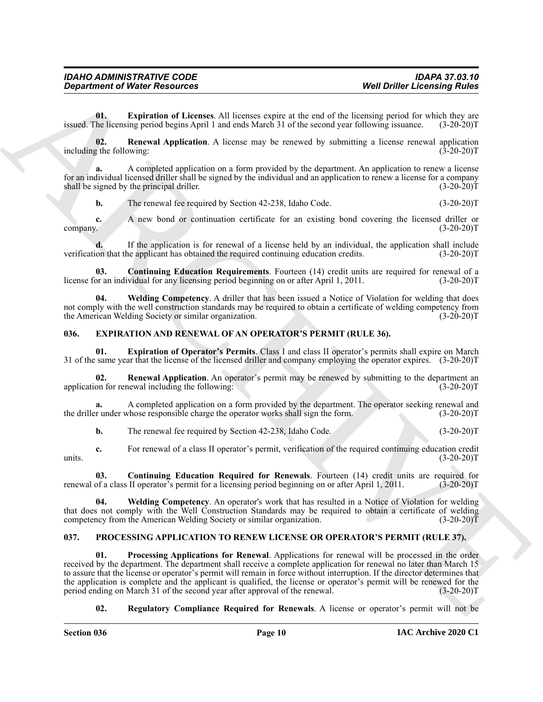<span id="page-9-8"></span>**01. Expiration of Licenses**. All licenses expire at the end of the licensing period for which they are issued. The licensing period begins April 1 and ends March 31 of the second year following issuance. (3-20-20)T

<span id="page-9-9"></span>**02. Renewal Application**. A license may be renewed by submitting a license renewal application including the following: (3-20-20)T

**a.** A completed application on a form provided by the department. An application to renew a license for an individual licensed driller shall be signed by the individual and an application to renew a license for a company shall be signed by the principal driller. (3-20-20)T

**b.** The renewal fee required by Section 42-238, Idaho Code. (3-20-20)T

**c.** A new bond or continuation certificate for an existing bond covering the licensed driller or company.  $(3-20-20)T$ 

**d.** If the application is for renewal of a license held by an individual, the application shall include on that the applicant has obtained the required continuing education credits. (3-20-20) verification that the applicant has obtained the required continuing education credits.

<span id="page-9-7"></span>**03. Continuing Education Requirements**. Fourteen (14) credit units are required for renewal of a license for an individual for any licensing period beginning on or after April 1, 2011. (3-20-20)T

<span id="page-9-10"></span>**04. Welding Competency**. A driller that has been issued a Notice of Violation for welding that does not comply with the well construction standards may be required to obtain a certificate of welding competency from the American Welding Society or similar organization. (3-20-20) T

#### <span id="page-9-2"></span><span id="page-9-0"></span>**036. EXPIRATION AND RENEWAL OF AN OPERATOR'S PERMIT (RULE 36).**

<span id="page-9-4"></span>**01. Expiration of Operator's Permits**. Class I and class II operator's permits shall expire on March 31 of the same year that the license of the licensed driller and company employing the operator expires. (3-20-20)T

<span id="page-9-5"></span>**02. Renewal Application**. An operator's permit may be renewed by submitting to the department an on for renewal including the following: application for renewal including the following:

**a.** A completed application on a form provided by the department. The operator seeking renewal and r under whose responsible charge the operator works shall sign the form. (3-20-20) the driller under whose responsible charge the operator works shall sign the form.

<span id="page-9-3"></span>**b.** The renewal fee required by Section 42-238, Idaho Code. (3-20-20)T

**c.** For renewal of a class II operator's permit, verification of the required continuing education credit (3-20-20) units.  $(3-20-20)T$ 

**03.** Continuing Education Required for Renewals. Fourteen (14) credit units are required for of a class II operator's permit for a licensing period beginning on or after April 1, 2011. (3-20-20) renewal of a class II operator's permit for a licensing period beginning on or after April 1, 2011.

<span id="page-9-6"></span>**04. Welding Competency**. An operator's work that has resulted in a Notice of Violation for welding that does not comply with the Well Construction Standards may be required to obtain a certificate of welding competency from the American Welding Society or similar organization. (3-20-20)

#### <span id="page-9-12"></span><span id="page-9-11"></span><span id="page-9-1"></span>**037. PROCESSING APPLICATION TO RENEW LICENSE OR OPERATOR'S PERMIT (RULE 37).**

**Considered of Nearly Considered Matures (Mel Delle Lecensing Rudes)**<br>
U. Explained of Lecensing Rudes<br>
The Lecensing Rudes (Secondary Matures Considered Matures (Secondary Matures Considered Matures (Secondary Matures Co **01. Processing Applications for Renewal**. Applications for renewal will be processed in the order received by the department. The department shall receive a complete application for renewal no later than March 15 to assure that the license or operator's permit will remain in force without interruption. If the director determines that the application is complete and the applicant is qualified, the license or operator's permit will be renewed for the period ending on March 31 of the second year after approval of the renewal. (3-20-20)T

#### <span id="page-9-13"></span>**02. Regulatory Compliance Required for Renewals**. A license or operator's permit will not be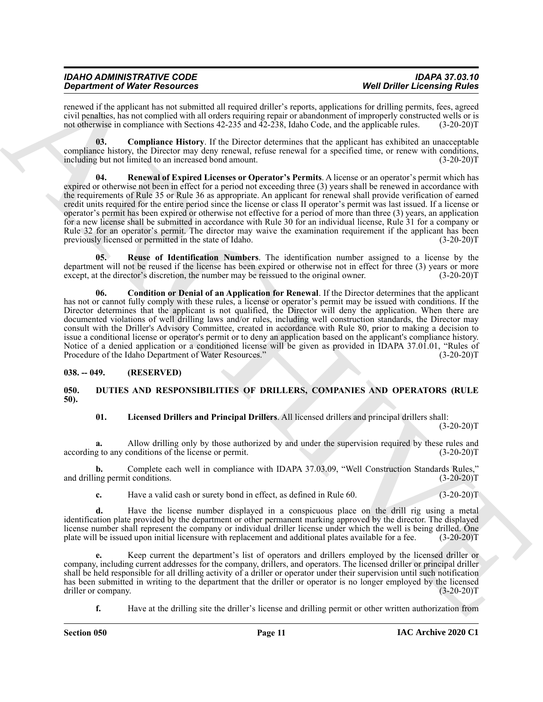| <b>IDAHO ADMINISTRATIVE CODE</b>     | <b>IDAPA 37.03.10</b>               |
|--------------------------------------|-------------------------------------|
| <b>Department of Water Resources</b> | <b>Well Driller Licensing Rules</b> |

renewed if the applicant has not submitted all required driller's reports, applications for drilling permits, fees, agreed civil penalties, has not complied with all orders requiring repair or abandonment of improperly constructed wells or is not otherwise in compliance with Sections 42-235 and 42-238, Idaho Code, and the applicable rules. (3-20-20)T

<span id="page-10-6"></span><span id="page-10-4"></span>**03. Compliance History**. If the Director determines that the applicant has exhibited an unacceptable compliance history, the Director may deny renewal, refuse renewal for a specified time, or renew with conditions, including but not limited to an increased bond amount. (3-20-20) including but not limited to an increased bond amount.

**Solution of Water Newsletz Constitution 1998** (and the experiment of Water Definition 2008) and the experiment of the experiment of the experiment of the experiment of the experiment of the experiment of the experiment o **04. Renewal of Expired Licenses or Operator's Permits**. A license or an operator's permit which has expired or otherwise not been in effect for a period not exceeding three (3) years shall be renewed in accordance with the requirements of Rule 35 or Rule 36 as appropriate. An applicant for renewal shall provide verification of earned credit units required for the entire period since the license or class II operator's permit was last issued. If a license or operator's permit has been expired or otherwise not effective for a period of more than three (3) years, an application for a new license shall be submitted in accordance with Rule 30 for an individual license, Rule 31 for a company or Rule 32 for an operator's permit. The director may waive the examination requirement if the applicant has been previously licensed or permitted in the state of Idaho. (3-20-20)T

<span id="page-10-7"></span>**05. Reuse of Identification Numbers**. The identification number assigned to a license by the department will not be reused if the license has been expired or otherwise not in effect for three (3) years or more except, at the director's discretion, the number may be reissued to the original owner. (3-20-20)T

<span id="page-10-5"></span>**06. Condition or Denial of an Application for Renewal**. If the Director determines that the applicant has not or cannot fully comply with these rules, a license or operator's permit may be issued with conditions. If the Director determines that the applicant is not qualified, the Director will deny the application. When there are documented violations of well drilling laws and/or rules, including well construction standards, the Director may consult with the Driller's Advisory Committee, created in accordance with Rule 80, prior to making a decision to issue a conditional license or operator's permit or to deny an application based on the applicant's compliance history. Notice of a denied application or a conditioned license will be given as provided in IDAPA 37.01.01, "Rules of Procedure of the Idaho Department of Water Resources." (3-20-20)T

#### <span id="page-10-0"></span>**038. -- 049. (RESERVED)**

#### <span id="page-10-2"></span><span id="page-10-1"></span>**050. DUTIES AND RESPONSIBILITIES OF DRILLERS, COMPANIES AND OPERATORS (RULE 50).**

#### <span id="page-10-3"></span>**01. Licensed Drillers and Principal Drillers**. All licensed drillers and principal drillers shall:

 $(3-20-20)T$ 

**a.** Allow drilling only by those authorized by and under the supervision required by these rules and g to any conditions of the license or permit. (3-20-20) according to any conditions of the license or permit.

**b.** Complete each well in compliance with IDAPA 37.03.09, "Well Construction Standards Rules," ing permit conditions. (3-20-20)T and drilling permit conditions.

**c.** Have a valid cash or surety bond in effect, as defined in Rule 60.  $(3-20-20)T$ 

**d.** Have the license number displayed in a conspicuous place on the drill rig using a metal identification plate provided by the department or other permanent marking approved by the director. The displayed license number shall represent the company or individual driller license under which the well is being drilled. One plate will be issued upon initial licensure with replacement and additional plates available for a fee. (3-20-20)T

**e.** Keep current the department's list of operators and drillers employed by the licensed driller or company, including current addresses for the company, drillers, and operators. The licensed driller or principal driller shall be held responsible for all drilling activity of a driller or operator under their supervision until such notification has been submitted in writing to the department that the driller or operator is no longer employed by the licensed driller or company. (3-20-20)T

**f.** Have at the drilling site the driller's license and drilling permit or other written authorization from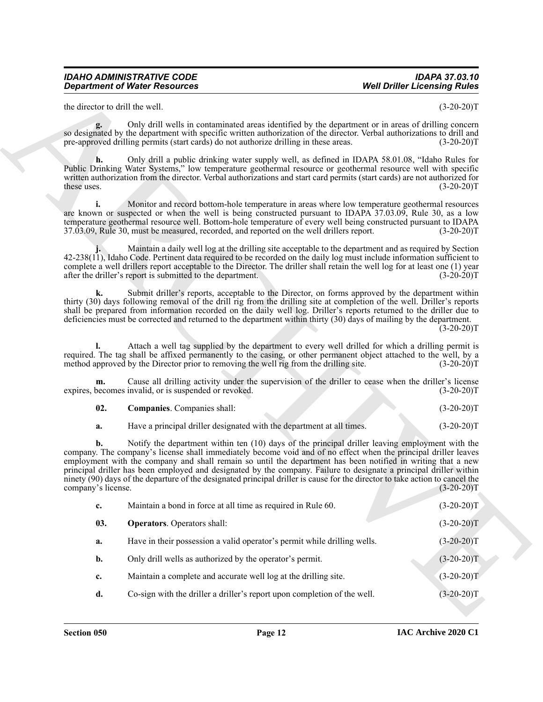<span id="page-11-1"></span><span id="page-11-0"></span>

| - 02. | <b>Companies.</b> Companies shall: |  | $(3-20-20)T$ |
|-------|------------------------------------|--|--------------|
|       |                                    |  |              |

|                                 | <b>Department of Water Resources</b>                                                                                                                                                                                                                                                                                                                                                                                                                                                                                                                                                     | <b>Well Driller Licensing Rules</b> |
|---------------------------------|------------------------------------------------------------------------------------------------------------------------------------------------------------------------------------------------------------------------------------------------------------------------------------------------------------------------------------------------------------------------------------------------------------------------------------------------------------------------------------------------------------------------------------------------------------------------------------------|-------------------------------------|
| the director to drill the well. |                                                                                                                                                                                                                                                                                                                                                                                                                                                                                                                                                                                          | $(3-20-20)T$                        |
| g.                              | Only drill wells in contaminated areas identified by the department or in areas of drilling concern<br>so designated by the department with specific written authorization of the director. Verbal authorizations to drill and<br>pre-approved drilling permits (start cards) do not authorize drilling in these areas.                                                                                                                                                                                                                                                                  | $(3-20-20)T$                        |
| h.<br>these uses.               | Only drill a public drinking water supply well, as defined in IDAPA 58.01.08, "Idaho Rules for<br>Public Drinking Water Systems," low temperature geothermal resource or geothermal resource well with specific<br>written authorization from the director. Verbal authorizations and start card permits (start cards) are not authorized for                                                                                                                                                                                                                                            | $(3-20-20)T$                        |
| i.                              | Monitor and record bottom-hole temperature in areas where low temperature geothermal resources<br>are known or suspected or when the well is being constructed pursuant to IDAPA 37.03.09, Rule 30, as a low<br>temperature geothermal resource well. Bottom-hole temperature of every well being constructed pursuant to IDAPA<br>37.03.09, Rule 30, must be measured, recorded, and reported on the well drillers report.                                                                                                                                                              | $(3-20-20)T$                        |
|                                 | Maintain a daily well log at the drilling site acceptable to the department and as required by Section<br>42-238(11), Idaho Code. Pertinent data required to be recorded on the daily log must include information sufficient to<br>complete a well drillers report acceptable to the Director. The driller shall retain the well log for at least one (1) year<br>after the driller's report is submitted to the department.                                                                                                                                                            | $(3-20-20)T$                        |
| k.                              | Submit driller's reports, acceptable to the Director, on forms approved by the department within<br>thirty (30) days following removal of the drill rig from the drilling site at completion of the well. Driller's reports<br>shall be prepared from information recorded on the daily well log. Driller's reports returned to the driller due to<br>deficiencies must be corrected and returned to the department within thirty (30) days of mailing by the department.                                                                                                                | $(3-20-20)T$                        |
|                                 | Attach a well tag supplied by the department to every well drilled for which a drilling permit is<br>required. The tag shall be affixed permanently to the casing, or other permanent object attached to the well, by a<br>method approved by the Director prior to removing the well rig from the drilling site.                                                                                                                                                                                                                                                                        | $(3-20-20)T$                        |
| m.                              | Cause all drilling activity under the supervision of the driller to cease when the driller's license<br>expires, becomes invalid, or is suspended or revoked.                                                                                                                                                                                                                                                                                                                                                                                                                            | $(3-20-20)T$                        |
| 02.                             | Companies. Companies shall:                                                                                                                                                                                                                                                                                                                                                                                                                                                                                                                                                              | $(3-20-20)T$                        |
| a.                              | Have a principal driller designated with the department at all times.                                                                                                                                                                                                                                                                                                                                                                                                                                                                                                                    | $(3-20-20)T$                        |
| b.<br>company's license.        | Notify the department within ten (10) days of the principal driller leaving employment with the<br>company. The company's license shall immediately become void and of no effect when the principal driller leaves<br>employment with the company and shall remain so until the department has been notified in writing that a new<br>principal driller has been employed and designated by the company. Failure to designate a principal driller within<br>ninety (90) days of the departure of the designated principal driller is cause for the director to take action to cancel the | $(3-20-20)T$                        |
| c.                              | Maintain a bond in force at all time as required in Rule 60.                                                                                                                                                                                                                                                                                                                                                                                                                                                                                                                             | $(3-20-20)T$                        |
| 03.                             | <b>Operators.</b> Operators shall:                                                                                                                                                                                                                                                                                                                                                                                                                                                                                                                                                       | $(3-20-20)T$                        |
|                                 | Have in their possession a valid operator's permit while drilling wells.                                                                                                                                                                                                                                                                                                                                                                                                                                                                                                                 | $(3-20-20)T$                        |
| a.                              |                                                                                                                                                                                                                                                                                                                                                                                                                                                                                                                                                                                          |                                     |
| $\mathbf{b}$ .                  | Only drill wells as authorized by the operator's permit.                                                                                                                                                                                                                                                                                                                                                                                                                                                                                                                                 | $(3-20-20)T$                        |
| c.                              | Maintain a complete and accurate well log at the drilling site.                                                                                                                                                                                                                                                                                                                                                                                                                                                                                                                          | $(3-20-20)T$                        |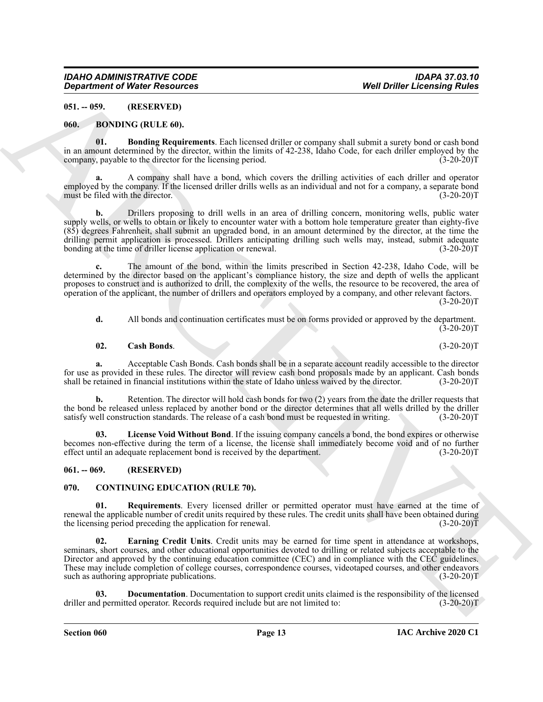#### <span id="page-12-0"></span>**051. -- 059. (RESERVED)**

#### <span id="page-12-4"></span><span id="page-12-1"></span>**060. BONDING (RULE 60).**

<span id="page-12-5"></span>**01. Bonding Requirements**. Each licensed driller or company shall submit a surety bond or cash bond in an amount determined by the director, within the limits of 42-238, Idaho Code, for each driller employed by the company, payable to the director for the licensing period. (3-20-20) company, payable to the director for the licensing period.

**a.** A company shall have a bond, which covers the drilling activities of each driller and operator employed by the company. If the licensed driller drills wells as an individual and not for a company, a separate bond must be filed with the director.

**b.** Drillers proposing to drill wells in an area of drilling concern, monitoring wells, public water supply wells, or wells to obtain or likely to encounter water with a bottom hole temperature greater than eighty-five (85) degrees Fahrenheit, shall submit an upgraded bond, in an amount determined by the director, at the time the drilling permit application is processed. Drillers anticipating drilling such wells may, instead, submit adequate bonding at the time of driller license application or renewal. (3-20-20) bonding at the time of driller license application or renewal.

**c.** The amount of the bond, within the limits prescribed in Section 42-238, Idaho Code, will be determined by the director based on the applicant's compliance history, the size and depth of wells the applicant proposes to construct and is authorized to drill, the complexity of the wells, the resource to be recovered, the area of operation of the applicant, the number of drillers and operators employed by a company, and other relevant factors.  $(3-20-20)T$ 

**d.** All bonds and continuation certificates must be on forms provided or approved by the department.  $(3-20-20)$ T

#### <span id="page-12-6"></span>**02. Cash Bonds**. (3-20-20)T

**a.** Acceptable Cash Bonds. Cash bonds shall be in a separate account readily accessible to the director for use as provided in these rules. The director will review cash bond proposals made by an applicant. Cash bonds shall be retained in financial institutions within the state of Idaho unless waived by the director. (3-20-20)T

**b.** Retention. The director will hold cash bonds for two (2) years from the date the driller requests that the bond be released unless replaced by another bond or the director determines that all wells drilled by the driller satisfy well construction standards. The release of a cash bond must be requested in writing. (3-20-20)T

<span id="page-12-11"></span>**03. License Void Without Bond**. If the issuing company cancels a bond, the bond expires or otherwise becomes non-effective during the term of a license, the license shall immediately become void and of no further effect until an adequate replacement bond is received by the department. (3-20-20) effect until an adequate replacement bond is received by the department.

#### <span id="page-12-2"></span>**061. -- 069. (RESERVED)**

#### <span id="page-12-7"></span><span id="page-12-3"></span>**070. CONTINUING EDUCATION (RULE 70).**

<span id="page-12-10"></span><span id="page-12-9"></span>**01. Requirements**. Every licensed driller or permitted operator must have earned at the time of renewal the applicable number of credit units required by these rules. The credit units shall have been obtained during the licensing period preceding the application for renewal. (3-20-20)T

**Considered of Nickel Resources** (Selling and the energy of the state of the state of the state of the state of the state of the state of the state of the state of the state of the state of the state of the state of the s **02. Earning Credit Units**. Credit units may be earned for time spent in attendance at workshops, seminars, short courses, and other educational opportunities devoted to drilling or related subjects acceptable to the Director and approved by the continuing education committee (CEC) and in compliance with the CEC guidelines. These may include completion of college courses, correspondence courses, videotaped courses, and other endeavors such as authoring appropriate publications. (3-20-20) T

<span id="page-12-8"></span>**03. Documentation**. Documentation to support credit units claimed is the responsibility of the licensed driller and permitted operator. Records required include but are not limited to: (3-20-20)T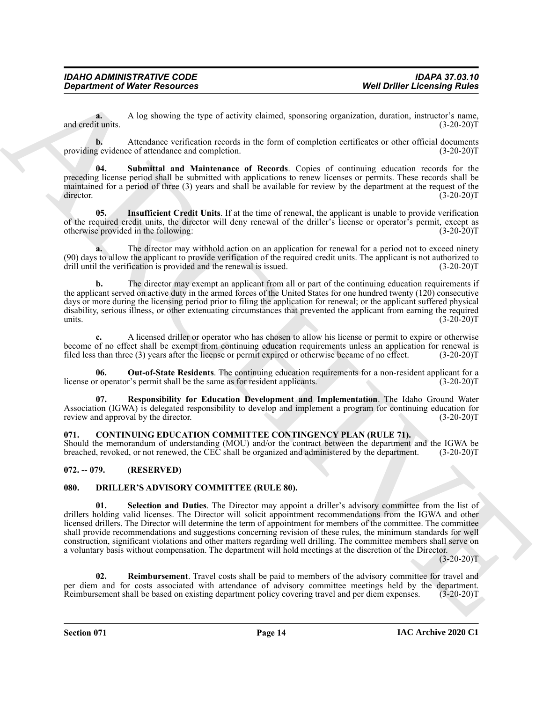**a.** A log showing the type of activity claimed, sponsoring organization, duration, instructor's name, and credit units. (3-20-20)T

**b.** Attendance verification records in the form of completion certificates or other official documents providing evidence of attendance and completion. (3-20-20)T

<span id="page-13-6"></span>**04. Submittal and Maintenance of Records**. Copies of continuing education records for the preceding license period shall be submitted with applications to renew licenses or permits. These records shall be maintained for a period of three (3) years and shall be available for review by the department at the request of the director. (3-20-20) director. (3-20-20)T

<span id="page-13-3"></span>**05. Insufficient Credit Units**. If at the time of renewal, the applicant is unable to provide verification of the required credit units, the director will deny renewal of the driller's license or operator's permit, except as otherwise provided in the following: (3-20-20)T

**a.** The director may withhold action on an application for renewal for a period not to exceed ninety (90) days to allow the applicant to provide verification of the required credit units. The applicant is not authorized to drill until the verification is provided and the renewal is issued. (3-20-20)T

**b.** The director may exempt an applicant from all or part of the continuing education requirements if the applicant served on active duty in the armed forces of the United States for one hundred twenty (120) consecutive days or more during the licensing period prior to filing the application for renewal; or the applicant suffered physical disability, serious illness, or other extenuating circumstances that prevented the applicant from earning the required units.  $(3-20-20)T$ 

**c.** A licensed driller or operator who has chosen to allow his license or permit to expire or otherwise become of no effect shall be exempt from continuing education requirements unless an application for renewal is filed less than three (3) years after the license or permit expired or otherwise became of no effect. (3-20-20)T

<span id="page-13-4"></span>**06. Out-of-State Residents**. The continuing education requirements for a non-resident applicant for a license or operator's permit shall be the same as for resident applicants. (3-20-20)T

<span id="page-13-5"></span>**07. Responsibility for Education Development and Implementation**. The Idaho Ground Water Association (IGWA) is delegated responsibility to develop and implement a program for continuing education for review and approval by the director. (3-20-20)T

#### <span id="page-13-7"></span><span id="page-13-0"></span>**071. CONTINUING EDUCATION COMMITTEE CONTINGENCY PLAN (RULE 71).**

Should the memorandum of understanding (MOU) and/or the contract between the department and the IGWA be breached, revoked, or not renewed, the CEC shall be organized and administered by the department. (3-20-20)T breached, revoked, or not renewed, the CEC shall be organized and administered by the department.

#### <span id="page-13-1"></span>**072. -- 079. (RESERVED)**

#### <span id="page-13-10"></span><span id="page-13-8"></span><span id="page-13-2"></span>**080. DRILLER'S ADVISORY COMMITTEE (RULE 80).**

**Constraint of Ninter Resources** Well Drille Learning Waters and Taures and Taures and Taures and Taures and Taures and Taures and Taures and Taures and Taures and Taures and Taures and Taures and Taures and Taures and Ta **01. Selection and Duties**. The Director may appoint a driller's advisory committee from the list of drillers holding valid licenses. The Director will solicit appointment recommendations from the IGWA and other licensed drillers. The Director will determine the term of appointment for members of the committee. The committee shall provide recommendations and suggestions concerning revision of these rules, the minimum standards for well construction, significant violations and other matters regarding well drilling. The committee members shall serve on a voluntary basis without compensation. The department will hold meetings at the discretion of the Director.

 $(3-20-20)T$ 

<span id="page-13-9"></span>**02. Reimbursement**. Travel costs shall be paid to members of the advisory committee for travel and per diem and for costs associated with attendance of advisory committee meetings held by the department.<br>Reimbursement shall be based on existing department policy covering travel and per diem expenses. (3-20-20)T Reimbursement shall be based on existing department policy covering travel and per diem expenses.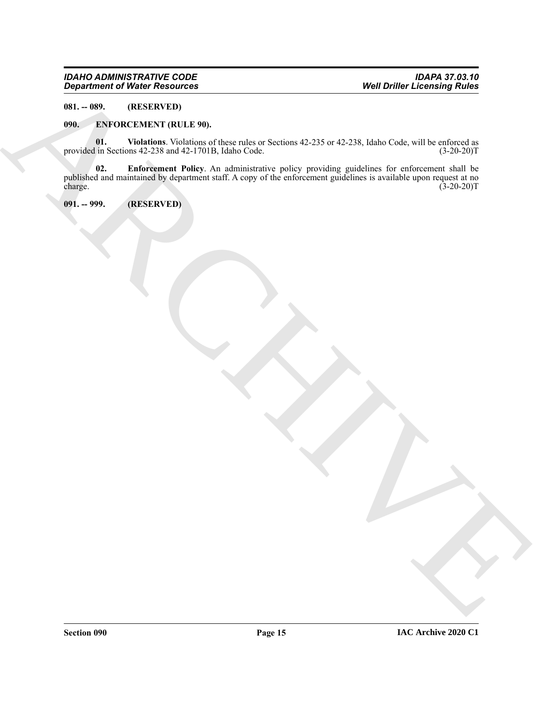#### *IDAHO ADMINISTRATIVE CODE IDAPA 37.03.10 Department of Water Resources Well Driller Licensing Rules*

<span id="page-14-0"></span>**081. -- 089. (RESERVED)**

#### <span id="page-14-3"></span><span id="page-14-1"></span>**090. ENFORCEMENT (RULE 90).**

<span id="page-14-5"></span><span id="page-14-4"></span>**01.** Violations. Violations of these rules or Sections 42-235 or 42-238, Idaho Code, will be enforced as in Sections 42-238 and 42-1701B, Idaho Code. (3-20-20)T provided in Sections 42-238 and 42-1701B, Idaho Code.

Department of Nixier Newsletter<br>
Well Defile Leveland School (2.25 or 12.25 s. that Case Case of the Nixier School (2.25 or 12.25 s. the Nixier School (2.25 or 12.25 s. the Nixier School (2.25 or 12.25)<br>
provided a Securi **02. Enforcement Policy**. An administrative policy providing guidelines for enforcement shall be published and maintained by department staff. A copy of the enforcement guidelines is available upon request at no charge. (3-20-20)T

<span id="page-14-2"></span>**091. -- 999. (RESERVED)**